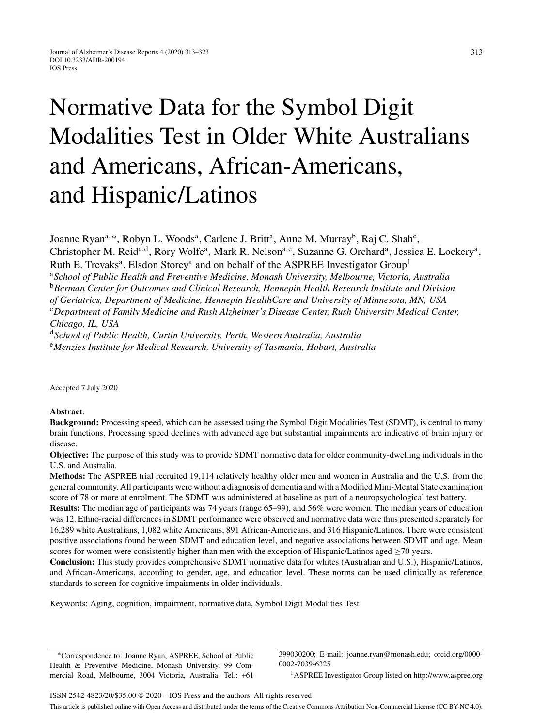# Normative Data for the Symbol Digit Modalities Test in Older White Australians and Americans, African-Americans, and Hispanic/Latinos

Joanne Ryan<sup>a, \*</sup>, Robyn L. Woods<sup>a</sup>, Carlene J. Britt<sup>a</sup>, Anne M. Murray<sup>b</sup>, Raj C. Shah<sup>c</sup>, Christopher M. Reid<sup>a,d</sup>, Rory Wolfe<sup>a</sup>, Mark R. Nelson<sup>a,e</sup>, Suzanne G. Orchard<sup>a</sup>, Jessica E. Lockery<sup>a</sup>, Ruth E. Trevaks<sup>a</sup>, Elsdon Storey<sup>a</sup> and on behalf of the ASPREE Investigator Group<sup>1</sup>

<sup>a</sup>*School of Public Health and Preventive Medicine, Monash University, Melbourne, Victoria, Australia* <sup>b</sup>*Berman Center for Outcomes and Clinical Research, Hennepin Health Research Institute and Division of Geriatrics, Department of Medicine, Hennepin HealthCare and University of Minnesota, MN, USA* <sup>c</sup>*Department of Family Medicine and Rush Alzheimer's Disease Center, Rush University Medical Center, Chicago, IL, USA*

<sup>d</sup>*School of Public Health, Curtin University, Perth, Western Australia, Australia* <sup>e</sup>*Menzies Institute for Medical Research, University of Tasmania, Hobart, Australia*

Accepted 7 July 2020

# **Abstract**.

**Background:** Processing speed, which can be assessed using the Symbol Digit Modalities Test (SDMT), is central to many brain functions. Processing speed declines with advanced age but substantial impairments are indicative of brain injury or disease.

**Objective:** The purpose of this study was to provide SDMT normative data for older community-dwelling individuals in the U.S. and Australia.

**Methods:** The ASPREE trial recruited 19,114 relatively healthy older men and women in Australia and the U.S. from the general community. All participants were without a diagnosis of dementia and with a Modified Mini-Mental State examination score of 78 or more at enrolment. The SDMT was administered at baseline as part of a neuropsychological test battery.

**Results:** The median age of participants was 74 years (range 65–99), and 56% were women. The median years of education was 12. Ethno-racial differences in SDMT performance were observed and normative data were thus presented separately for 16,289 white Australians, 1,082 white Americans, 891 African-Americans, and 316 Hispanic/Latinos. There were consistent positive associations found between SDMT and education level, and negative associations between SDMT and age. Mean scores for women were consistently higher than men with the exception of Hispanic/Latinos aged  $\geq$ 70 years.

**Conclusion:** This study provides comprehensive SDMT normative data for whites (Australian and U.S.), Hispanic/Latinos, and African-Americans, according to gender, age, and education level. These norms can be used clinically as reference standards to screen for cognitive impairments in older individuals.

Keywords: Aging, cognition, impairment, normative data, Symbol Digit Modalities Test

∗Correspondence to: Joanne Ryan, ASPREE, School of Public Health & Preventive Medicine, Monash University, 99 Commercial Road, Melbourne, 3004 Victoria, Australia. Tel.: +61

399030200; E-mail: joanne.ryan@monash.edu; orcid.org/0000- 0002-7039-6325

1ASPREE Investigator Group listed on<http://www.aspree.org>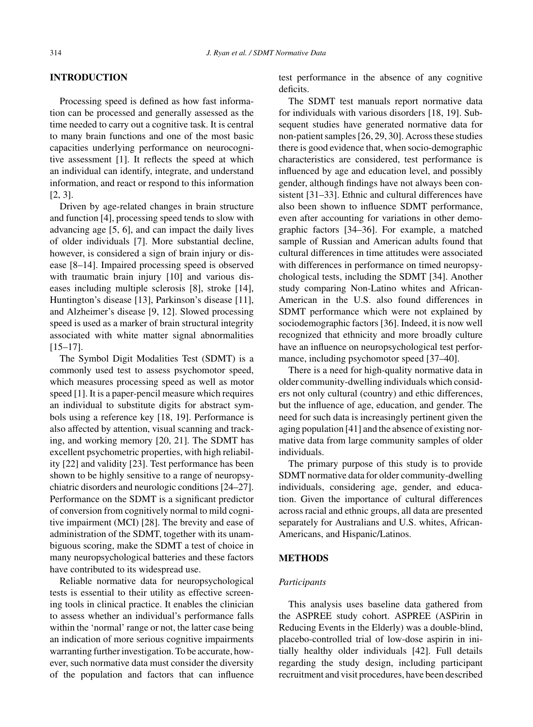#### **INTRODUCTION**

Processing speed is defined as how fast information can be processed and generally assessed as the time needed to carry out a cognitive task. It is central to many brain functions and one of the most basic capacities underlying performance on neurocognitive assessment [1]. It reflects the speed at which an individual can identify, integrate, and understand information, and react or respond to this information [2, 3].

Driven by age-related changes in brain structure and function [4], processing speed tends to slow with advancing age [5, 6], and can impact the daily lives of older individuals [7]. More substantial decline, however, is considered a sign of brain injury or disease [8–14]. Impaired processing speed is observed with traumatic brain injury [10] and various diseases including multiple sclerosis [8], stroke [14], Huntington's disease [13], Parkinson's disease [11], and Alzheimer's disease [9, 12]. Slowed processing speed is used as a marker of brain structural integrity associated with white matter signal abnormalities  $[15–17]$ .

The Symbol Digit Modalities Test (SDMT) is a commonly used test to assess psychomotor speed, which measures processing speed as well as motor speed [1]. It is a paper-pencil measure which requires an individual to substitute digits for abstract symbols using a reference key [18, 19]. Performance is also affected by attention, visual scanning and tracking, and working memory [20, 21]. The SDMT has excellent psychometric properties, with high reliability [22] and validity [23]. Test performance has been shown to be highly sensitive to a range of neuropsychiatric disorders and neurologic conditions [24–27]. Performance on the SDMT is a significant predictor of conversion from cognitively normal to mild cognitive impairment (MCI) [28]. The brevity and ease of administration of the SDMT, together with its unambiguous scoring, make the SDMT a test of choice in many neuropsychological batteries and these factors have contributed to its widespread use.

Reliable normative data for neuropsychological tests is essential to their utility as effective screening tools in clinical practice. It enables the clinician to assess whether an individual's performance falls within the 'normal' range or not, the latter case being an indication of more serious cognitive impairments warranting further investigation. To be accurate, however, such normative data must consider the diversity of the population and factors that can influence test performance in the absence of any cognitive deficits.

The SDMT test manuals report normative data for individuals with various disorders [18, 19]. Subsequent studies have generated normative data for non-patient samples [26, 29, 30]. Across these studies there is good evidence that, when socio-demographic characteristics are considered, test performance is influenced by age and education level, and possibly gender, although findings have not always been consistent [31–33]. Ethnic and cultural differences have also been shown to influence SDMT performance, even after accounting for variations in other demographic factors [34–36]. For example, a matched sample of Russian and American adults found that cultural differences in time attitudes were associated with differences in performance on timed neuropsychological tests, including the SDMT [34]. Another study comparing Non-Latino whites and African-American in the U.S. also found differences in SDMT performance which were not explained by sociodemographic factors [36]. Indeed, it is now well recognized that ethnicity and more broadly culture have an influence on neuropsychological test performance, including psychomotor speed [37–40].

There is a need for high-quality normative data in older community-dwelling individuals which considers not only cultural (country) and ethic differences, but the influence of age, education, and gender. The need for such data is increasingly pertinent given the aging population [41] and the absence of existing normative data from large community samples of older individuals.

The primary purpose of this study is to provide SDMT normative data for older community-dwelling individuals, considering age, gender, and education. Given the importance of cultural differences across racial and ethnic groups, all data are presented separately for Australians and U.S. whites, African-Americans, and Hispanic/Latinos.

#### **METHODS**

# *Participants*

This analysis uses baseline data gathered from the ASPREE study cohort. ASPREE (ASPirin in Reducing Events in the Elderly) was a double-blind, placebo-controlled trial of low-dose aspirin in initially healthy older individuals [42]. Full details regarding the study design, including participant recruitment and visit procedures, have been described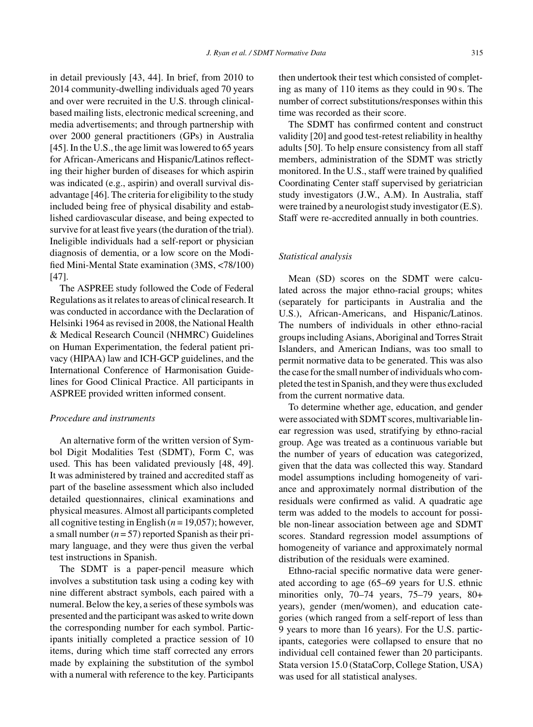in detail previously [43, 44]. In brief, from 2010 to 2014 community-dwelling individuals aged 70 years and over were recruited in the U.S. through clinicalbased mailing lists, electronic medical screening, and media advertisements; and through partnership with over 2000 general practitioners (GPs) in Australia [45]. In the U.S., the age limit was lowered to 65 years for African-Americans and Hispanic/Latinos reflecting their higher burden of diseases for which aspirin was indicated (e.g., aspirin) and overall survival disadvantage [46]. The criteria for eligibility to the study included being free of physical disability and established cardiovascular disease, and being expected to survive for at least five years (the duration of the trial). Ineligible individuals had a self-report or physician diagnosis of dementia, or a low score on the Modified Mini-Mental State examination (3MS, <78/100) [47].

The ASPREE study followed the Code of Federal Regulations as it relates to areas of clinical research. It was conducted in accordance with the Declaration of Helsinki 1964 as revised in 2008, the National Health & Medical Research Council (NHMRC) Guidelines on Human Experimentation, the federal patient privacy (HIPAA) law and ICH-GCP guidelines, and the International Conference of Harmonisation Guidelines for Good Clinical Practice. All participants in ASPREE provided written informed consent.

# *Procedure and instruments*

An alternative form of the written version of Symbol Digit Modalities Test (SDMT), Form C, was used. This has been validated previously [48, 49]. It was administered by trained and accredited staff as part of the baseline assessment which also included detailed questionnaires, clinical examinations and physical measures. Almost all participants completed all cognitive testing in English  $(n = 19,057)$ ; however, a small number  $(n = 57)$  reported Spanish as their primary language, and they were thus given the verbal test instructions in Spanish.

The SDMT is a paper-pencil measure which involves a substitution task using a coding key with nine different abstract symbols, each paired with a numeral. Below the key, a series of these symbols was presented and the participant was asked to write down the corresponding number for each symbol. Participants initially completed a practice session of 10 items, during which time staff corrected any errors made by explaining the substitution of the symbol with a numeral with reference to the key. Participants

then undertook their test which consisted of completing as many of 110 items as they could in 90 s. The number of correct substitutions/responses within this time was recorded as their score.

The SDMT has confirmed content and construct validity [20] and good test-retest reliability in healthy adults [50]. To help ensure consistency from all staff members, administration of the SDMT was strictly monitored. In the U.S., staff were trained by qualified Coordinating Center staff supervised by geriatrician study investigators (J.W., A.M). In Australia, staff were trained by a neurologist study investigator (E.S). Staff were re-accredited annually in both countries.

#### *Statistical analysis*

Mean (SD) scores on the SDMT were calculated across the major ethno-racial groups; whites (separately for participants in Australia and the U.S.), African-Americans, and Hispanic/Latinos. The numbers of individuals in other ethno-racial groups including Asians, Aboriginal and Torres Strait Islanders, and American Indians, was too small to permit normative data to be generated. This was also the case for the small number of individuals who completed the test in Spanish, and they were thus excluded from the current normative data.

To determine whether age, education, and gender were associated with SDMT scores, multivariable linear regression was used, stratifying by ethno-racial group. Age was treated as a continuous variable but the number of years of education was categorized, given that the data was collected this way. Standard model assumptions including homogeneity of variance and approximately normal distribution of the residuals were confirmed as valid. A quadratic age term was added to the models to account for possible non-linear association between age and SDMT scores. Standard regression model assumptions of homogeneity of variance and approximately normal distribution of the residuals were examined.

Ethno-racial specific normative data were generated according to age (65–69 years for U.S. ethnic minorities only, 70–74 years, 75–79 years, 80+ years), gender (men/women), and education categories (which ranged from a self-report of less than 9 years to more than 16 years). For the U.S. participants, categories were collapsed to ensure that no individual cell contained fewer than 20 participants. Stata version 15.0 (StataCorp, College Station, USA) was used for all statistical analyses.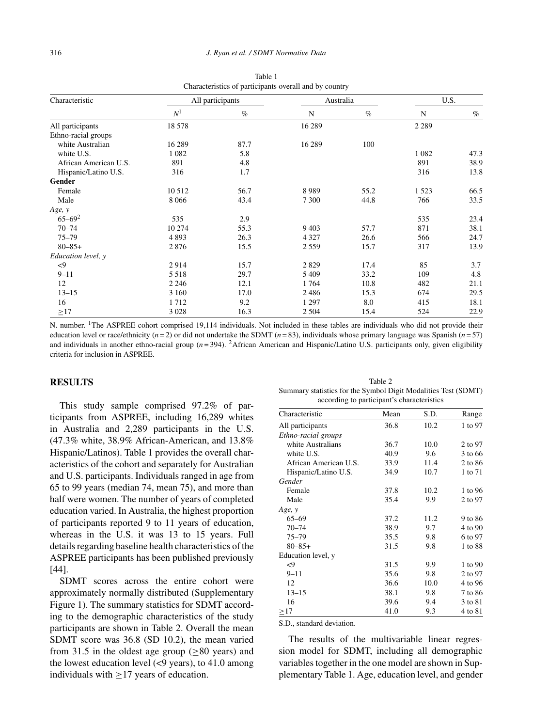| Characteristic        |         | All participants | Australia |      | U.S.    |      |
|-----------------------|---------|------------------|-----------|------|---------|------|
|                       | $N^1$   | $\%$             | N         | $\%$ | N       | $\%$ |
| All participants      | 18 578  |                  | 16 289    |      | 2 2 8 9 |      |
| Ethno-racial groups   |         |                  |           |      |         |      |
| white Australian      | 16 289  | 87.7             | 16 289    | 100  |         |      |
| white U.S.            | 1 0 8 2 | 5.8              |           |      | 1 0 8 2 | 47.3 |
| African American U.S. | 891     | 4.8              |           |      | 891     | 38.9 |
| Hispanic/Latino U.S.  | 316     | 1.7              |           |      | 316     | 13.8 |
| Gender                |         |                  |           |      |         |      |
| Female                | 10 5 12 | 56.7             | 8989      | 55.2 | 1523    | 66.5 |
| Male                  | 8 0 6 6 | 43.4             | 7 3 0 0   | 44.8 | 766     | 33.5 |
| Age, y                |         |                  |           |      |         |      |
| $65 - 69^2$           | 535     | 2.9              |           |      | 535     | 23.4 |
| $70 - 74$             | 10 274  | 55.3             | 9403      | 57.7 | 871     | 38.1 |
| $75 - 79$             | 4893    | 26.3             | 4 3 2 7   | 26.6 | 566     | 24.7 |
| $80 - 85 +$           | 2876    | 15.5             | 2 5 5 9   | 15.7 | 317     | 13.9 |
| Education level, y    |         |                  |           |      |         |      |
| $\leq$ 9              | 2914    | 15.7             | 2829      | 17.4 | 85      | 3.7  |
| $9 - 11$              | 5 5 1 8 | 29.7             | 5 4 0 9   | 33.2 | 109     | 4.8  |
| 12                    | 2 2 4 6 | 12.1             | 1764      | 10.8 | 482     | 21.1 |
| $13 - 15$             | 3 1 6 0 | 17.0             | 2486      | 15.3 | 674     | 29.5 |
| 16                    | 1712    | 9.2              | 1 2 9 7   | 8.0  | 415     | 18.1 |
| $\geq$ 17             | 3 0 2 8 | 16.3             | 2 5 0 4   | 15.4 | 524     | 22.9 |

Table 1 Characteristics of participants overall and by country

N. number. 1The ASPREE cohort comprised 19,114 individuals. Not included in these tables are individuals who did not provide their education level or race/ethnicity ( $n = 2$ ) or did not undertake the SDMT ( $n = 83$ ), individuals whose primary language was Spanish ( $n = 57$ ) and individuals in another ethno-racial group  $(n=394)$ . <sup>2</sup>African American and Hispanic/Latino U.S. participants only, given eligibility criteria for inclusion in ASPREE.

# **RESULTS**

This study sample comprised 97.2% of participants from ASPREE, including 16,289 whites in Australia and 2,289 participants in the U.S. (47.3% white, 38.9% African-American, and 13.8% Hispanic/Latinos). Table 1 provides the overall characteristics of the cohort and separately for Australian and U.S. participants. Individuals ranged in age from 65 to 99 years (median 74, mean 75), and more than half were women. The number of years of completed education varied. In Australia, the highest proportion of participants reported 9 to 11 years of education, whereas in the U.S. it was 13 to 15 years. Full details regarding baseline health characteristics of the ASPREE participants has been published previously [44].

SDMT scores across the entire cohort were approximately normally distributed (Supplementary Figure 1). The summary statistics for SDMT according to the demographic characteristics of the study participants are shown in Table 2. Overall the mean SDMT score was 36.8 (SD 10.2), the mean varied from 31.5 in the oldest age group  $(>80$  years) and the lowest education level  $\left($ <9 years), to 41.0 among individuals with  $\geq$  17 years of education.

Table 2 Summary statistics for the Symbol Digit Modalities Test (SDMT) according to participant's characteristics

| Characteristic        | Mean | S.D. | Range   |
|-----------------------|------|------|---------|
| All participants      | 36.8 | 10.2 | 1 to 97 |
| Ethno-racial groups   |      |      |         |
| white Australians     | 36.7 | 10.0 | 2 to 97 |
| white U.S.            | 40.9 | 9.6  | 3 to 66 |
| African American U.S. | 33.9 | 11.4 | 2 to 86 |
| Hispanic/Latino U.S.  | 34.9 | 10.7 | 1 to 71 |
| Gender                |      |      |         |
| Female                | 37.8 | 10.2 | 1 to 96 |
| Male                  | 35.4 | 9.9  | 2 to 97 |
| Age, y                |      |      |         |
| $65 - 69$             | 37.2 | 11.2 | 9 to 86 |
| $70 - 74$             | 38.9 | 9.7  | 4 to 90 |
| $75 - 79$             | 35.5 | 9.8  | 6 to 97 |
| $80 - 85 +$           | 31.5 | 9.8  | 1 to 88 |
| Education level, y    |      |      |         |
| $\leq$ 9              | 31.5 | 9.9  | 1 to 90 |
| $9 - 11$              | 35.6 | 9.8  | 2 to 97 |
| 12                    | 36.6 | 10.0 | 4 to 96 |
| $13 - 15$             | 38.1 | 9.8  | 7 to 86 |
| 16                    | 39.6 | 9.4  | 3 to 81 |
| $\geq$ 17             | 41.0 | 9.3  | 4 to 81 |

S.D., standard deviation.

The results of the multivariable linear regression model for SDMT, including all demographic variables together in the one model are shown in Supplementary Table 1. Age, education level, and gender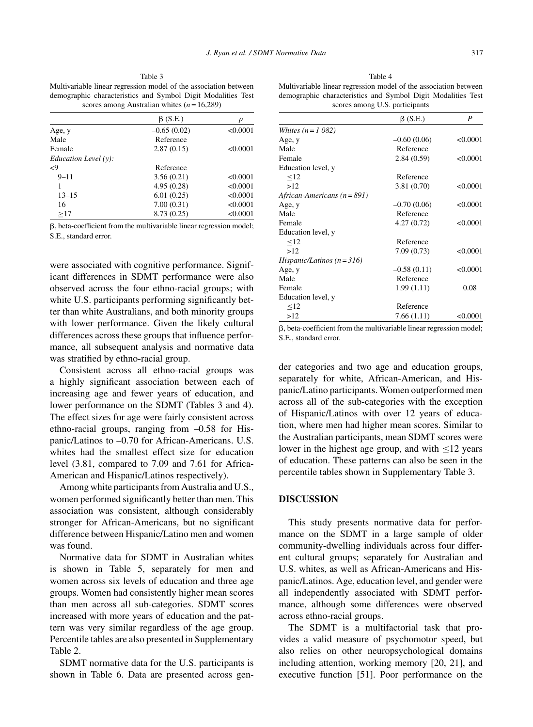Table 3 Multivariable linear regression model of the association between demographic characteristics and Symbol Digit Modalities Test scores among Australian whites (*n* = 16,289)

|                                | $\beta$ (S.E.) | p        |
|--------------------------------|----------------|----------|
| Age, y                         | $-0.65(0.02)$  | < 0.0001 |
| Male                           | Reference      |          |
| Female                         | 2.87(0.15)     | < 0.0001 |
| <i>Education Level</i> $(v)$ : |                |          |
| $\leq$ 9                       | Reference      |          |
| $9 - 11$                       | 3.56(0.21)     | < 0.0001 |
|                                | 4.95(0.28)     | < 0.0001 |
| $13 - 15$                      | 6.01(0.25)     | < 0.0001 |
| 16                             | 7.00(0.31)     | < 0.0001 |
| >17                            | 8.73 (0.25)    | < 0.0001 |

-, beta-coefficient from the multivariable linear regression model; S.E., standard error.

were associated with cognitive performance. Significant differences in SDMT performance were also observed across the four ethno-racial groups; with white U.S. participants performing significantly better than white Australians, and both minority groups with lower performance. Given the likely cultural differences across these groups that influence performance, all subsequent analysis and normative data was stratified by ethno-racial group.

Consistent across all ethno-racial groups was a highly significant association between each of increasing age and fewer years of education, and lower performance on the SDMT (Tables 3 and 4). The effect sizes for age were fairly consistent across ethno-racial groups, ranging from –0.58 for Hispanic/Latinos to –0.70 for African-Americans. U.S. whites had the smallest effect size for education level (3.81, compared to 7.09 and 7.61 for Africa-American and Hispanic/Latinos respectively).

Among white participants from Australia and U.S., women performed significantly better than men. This association was consistent, although considerably stronger for African-Americans, but no significant difference between Hispanic/Latino men and women was found.

Normative data for SDMT in Australian whites is shown in Table 5, separately for men and women across six levels of education and three age groups. Women had consistently higher mean scores than men across all sub-categories. SDMT scores increased with more years of education and the pattern was very similar regardless of the age group. Percentile tables are also presented in Supplementary Table 2.

SDMT normative data for the U.S. participants is shown in Table 6. Data are presented across gen-

Table 4

Multivariable linear regression model of the association between demographic characteristics and Symbol Digit Modalities Test scores among U.S. participants

|                                 | $\beta$ (S.E.) | P        |
|---------------------------------|----------------|----------|
| Whites $(n=1 082)$              |                |          |
| Age, y                          | $-0.60(0.06)$  | < 0.0001 |
| Male                            | Reference      |          |
| Female                          | 2.84(0.59)     | < 0.0001 |
| Education level, y              |                |          |
| <12                             | Reference      |          |
| >12                             | 3.81(0.70)     | < 0.0001 |
| African-Americans ( $n = 891$ ) |                |          |
| Age, y                          | $-0.70(0.06)$  | < 0.0001 |
| Male                            | Reference      |          |
| Female                          | 4.27(0.72)     | < 0.0001 |
| Education level, y              |                |          |
| <12                             | Reference      |          |
| >12                             | 7.09 (0.73)    | < 0.0001 |
| Hispanic/Latinos ( $n = 316$ )  |                |          |
| Age, y                          | $-0.58(0.11)$  | < 0.0001 |
| Male                            | Reference      |          |
| Female                          | 1.99(1.11)     | 0.08     |
| Education level, y              |                |          |
| <12                             | Reference      |          |
| >12                             | 7.66 (1.11)    | < 0.0001 |

-, beta-coefficient from the multivariable linear regression model; S.E., standard error.

der categories and two age and education groups, separately for white, African-American, and Hispanic/Latino participants. Women outperformed men across all of the sub-categories with the exception of Hispanic/Latinos with over 12 years of education, where men had higher mean scores. Similar to the Australian participants, mean SDMT scores were lower in the highest age group, and with  $\leq 12$  years of education. These patterns can also be seen in the percentile tables shown in Supplementary Table 3.

#### **DISCUSSION**

This study presents normative data for performance on the SDMT in a large sample of older community-dwelling individuals across four different cultural groups; separately for Australian and U.S. whites, as well as African-Americans and Hispanic/Latinos. Age, education level, and gender were all independently associated with SDMT performance, although some differences were observed across ethno-racial groups.

The SDMT is a multifactorial task that provides a valid measure of psychomotor speed, but also relies on other neuropsychological domains including attention, working memory [20, 21], and executive function [51]. Poor performance on the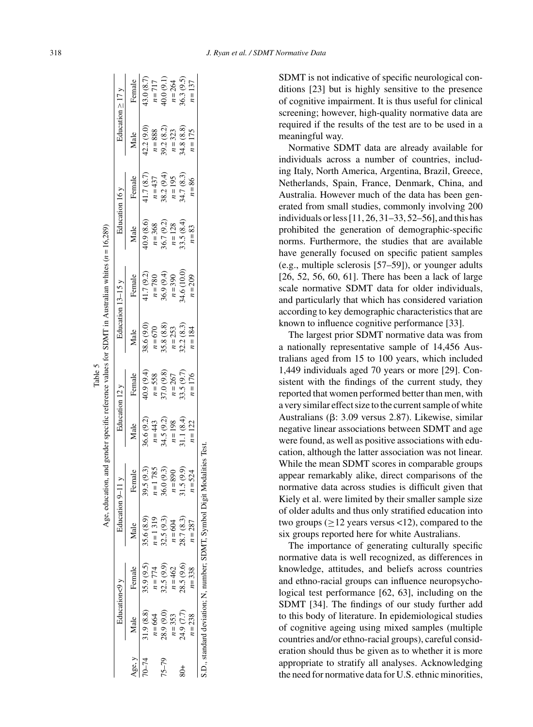|          |            |               | Age, edu   |                                                                        |                |            |             | ication, and gender specific reference values for SDMT in Australian whites $(n = 16,289)$ |                |           |                       |           |
|----------|------------|---------------|------------|------------------------------------------------------------------------|----------------|------------|-------------|--------------------------------------------------------------------------------------------|----------------|-----------|-----------------------|-----------|
|          |            | Education<9 v | Education  |                                                                        | Education 12 y |            |             | Education $13-15y$                                                                         | Education 16 y |           | Education $\geq$ 17 y |           |
| ge, y    | Male       | Female        | Male       | Female                                                                 | Male           | Female     | Male        | Female                                                                                     | Male           | Female    | Male                  | Female    |
| $+74$    | (1.9(8.8)) | 35.9 (9.5)    | 35.6 (8.9) | 39.5 (9.3)                                                             | 6.6(9.2)       | (0.9(9.4)  | 18.6 (9.0)  | 1.7(9.2)                                                                                   | 0.9(8.6)       | 1.7(8.7)  | 12.2(9.0)             | 3.0(8.7)  |
|          | $n = 664$  | $n = 774$     | $n = 1319$ | $= 1785$                                                               | $n = 443$      | $n = 558$  | $n = 670$   | $n = 780$                                                                                  | $n = 368$      | $n = 437$ | $n = 888$             | $n = 717$ |
| $62 - 5$ | 28.9 (9.0) | 32.5 (9.9)    | .2.5(9.3)  | 36.0 (9.3)                                                             | 4.5(9.2)       | 37.0 (9.8) | 85.8 (8.8)  | 36.9 (9.4)                                                                                 | 86.7 (9.2)     | 8.2 (9.4) | 39.2 (8.2)            | (0.000.1) |
|          | $n = 353$  | $n = 462$     | $n = 604$  | $n = 890$                                                              | $n = 198$      | $n = 267$  | $n = 253$   | $n = 390$                                                                                  | $n = 128$      | $n = 195$ | $n = 323$             | $n = 264$ |
|          | 4.9(7.7)   | 28.5 (9.6)    | 28.7 (8.3) | $(6.6)$ $5.13$                                                         | 1.1(8.4)       | 3.5(9.7)   | (2.2 (8.3)) | 4.6(10.0)                                                                                  | 3.5(8.4)       | 4.7 (8.3) | 4.8(8.8)              | 36.3(9.5) |
|          | $n = 238$  | $n = 338$     | $n = 287$  | $n = 524$                                                              | $n = 122$      | $n = 176$  | $n = 184$   | $n = 209$                                                                                  | $n=83$         | $n = 86$  | $n = 175$             | $n = 137$ |
|          |            |               |            | D., standard deviation; N, number; SDMT, Symbol Digit Modalities Test. |                |            |             |                                                                                            |                |           |                       |           |

Table 5

SDMT is not indicative of specific neurological conditions [23] but is highly sensitive to the presence of cognitive impairment. It is thus useful for clinical screening; however, high-quality normative data are required if the results of the test are to be used in a meaningful way.

Normative SDMT data are already available for individuals across a number of countries, including Italy, North America, Argentina, Brazil, Greece, Netherlands, Spain, France, Denmark, China, and Australia. However much of the data has been generated from small studies, commonly involving 200 individuals or less [11, 26, 31–33, 52–56], and this has prohibited the generation of demographic-specific norms. Furthermore, the studies that are available have generally focused on specific patient samples (e.g., multiple sclerosis [57–59]), or younger adults [26, 52, 56, 60, 61]. There has been a lack of large scale normative SDMT data for older individuals, and particularly that which has considered variation according to key demographic characteristics that are known to influence cognitive performance [33].

The largest prior SDMT normative data was from a nationally representative sample of 14,456 Australians aged from 15 to 100 years, which included 1,449 individuals aged 70 years or more [29]. Consistent with the findings of the current study, they reported that women performed better than men, with a very similar effect size to the current sample of white Australians ( $\beta$ : 3.09 versus 2.87). Likewise, similar negative linear associations between SDMT and age were found, as well as positive associations with education, although the latter association was not linear. While the mean SDMT scores in comparable groups appear remarkably alike, direct comparisons of the normative data across studies is difficult given that Kiely et al. were limited by their smaller sample size of older adults and thus only stratified education into two groups  $(\geq 12$  years versus <12), compared to the six groups reported here for white Australians.

The importance of generating culturally specific normative data is well recognized, as differences in knowledge, attitudes, and beliefs across countries and ethno-racial groups can influence neuropsychological test performance [62, 63], including on the SDMT [34]. The findings of our study further add to this body of literature. In epidemiological studies of cognitive ageing using mixed samples (multiple countries and/or ethno-racial groups), careful consideration should thus be given as to whether it is more appropriate to stratify all analyses. Acknowledging the need for normative data for U.S. ethnic minorities,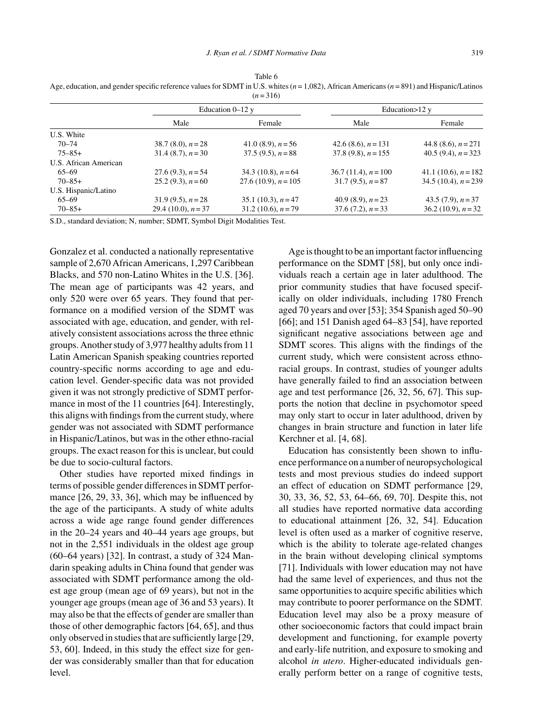|                       |                          | $U = 3191$               |                       |                         |  |
|-----------------------|--------------------------|--------------------------|-----------------------|-------------------------|--|
|                       |                          | Education $0-12$ y       | Education > $12 y$    |                         |  |
|                       | Male                     | Female                   | Male                  | Female                  |  |
| U.S. White            |                          |                          |                       |                         |  |
| $70 - 74$             | 38.7 (8.0), $n = 28$     | 41.0 (8.9), $n = 56$     | 42.6 (8.6), $n = 131$ | 44.8 (8.6), $n = 271$   |  |
| $75 - 85 +$           | $31.4(8.7)$ , $n=30$     | $37.5(9.5)$ , $n = 88$   | 37.8 (9.8), $n = 155$ | 40.5 (9.4), $n = 323$   |  |
| U.S. African American |                          |                          |                       |                         |  |
| 65-69                 | $27.6(9.3)$ , $n = 54$   | 34.3 (10.8), $n = 64$    | $36.7(11.4), n=100$   | 41.1 (10.6), $n = 182$  |  |
| $70 - 85 +$           | 25.2 (9.3), $n = 60$     | 27.6 (10.9), $n = 105$   | $31.7(9.5)$ , $n=87$  | 34.5 (10.4), $n = 239$  |  |
| U.S. Hispanic/Latino  |                          |                          |                       |                         |  |
| $65 - 69$             | $31.9(9.5)$ , $n=28$     | 35.1 $(10.3)$ , $n = 47$ | 40.9 (8.9), $n = 23$  | 43.5 $(7.9)$ , $n = 37$ |  |
| $70 - 85 +$           | 29.4 $(10.0)$ , $n = 37$ | $31.2(10.6)$ , $n = 79$  | $37.6(7.2)$ , $n=33$  | $36.2(10.9)$ , $n = 32$ |  |

Table 6 Age, education, and gender specific reference values for SDMT in U.S. whites (*n* = 1,082), African Americans (*n* = 891) and Hispanic/Latinos  $(n - 316)$ 

S.D., standard deviation; N, number; SDMT, Symbol Digit Modalities Test.

Gonzalez et al. conducted a nationally representative sample of 2,670 African Americans, 1,297 Caribbean Blacks, and 570 non-Latino Whites in the U.S. [36]. The mean age of participants was 42 years, and only 520 were over 65 years. They found that performance on a modified version of the SDMT was associated with age, education, and gender, with relatively consistent associations across the three ethnic groups. Another study of 3,977 healthy adults from 11 Latin American Spanish speaking countries reported country-specific norms according to age and education level. Gender-specific data was not provided given it was not strongly predictive of SDMT performance in most of the 11 countries [64]. Interestingly, this aligns with findings from the current study, where gender was not associated with SDMT performance in Hispanic/Latinos, but was in the other ethno-racial groups. The exact reason for this is unclear, but could be due to socio-cultural factors.

Other studies have reported mixed findings in terms of possible gender differences in SDMT performance [26, 29, 33, 36], which may be influenced by the age of the participants. A study of white adults across a wide age range found gender differences in the 20–24 years and 40–44 years age groups, but not in the 2,551 individuals in the oldest age group (60–64 years) [32]. In contrast, a study of 324 Mandarin speaking adults in China found that gender was associated with SDMT performance among the oldest age group (mean age of 69 years), but not in the younger age groups (mean age of 36 and 53 years). It may also be that the effects of gender are smaller than those of other demographic factors [64, 65], and thus only observed in studies that are sufficiently large [29, 53, 60]. Indeed, in this study the effect size for gender was considerably smaller than that for education level.

Age is thought to be an important factor influencing performance on the SDMT [58], but only once individuals reach a certain age in later adulthood. The prior community studies that have focused specifically on older individuals, including 1780 French aged 70 years and over [53]; 354 Spanish aged 50–90 [66]; and 151 Danish aged 64–83 [54], have reported significant negative associations between age and SDMT scores. This aligns with the findings of the current study, which were consistent across ethnoracial groups. In contrast, studies of younger adults have generally failed to find an association between age and test performance [26, 32, 56, 67]. This supports the notion that decline in psychomotor speed may only start to occur in later adulthood, driven by changes in brain structure and function in later life Kerchner et al. [4, 68].

Education has consistently been shown to influence performance on a number of neuropsychological tests and most previous studies do indeed support an effect of education on SDMT performance [29, 30, 33, 36, 52, 53, 64–66, 69, 70]. Despite this, not all studies have reported normative data according to educational attainment [26, 32, 54]. Education level is often used as a marker of cognitive reserve, which is the ability to tolerate age-related changes in the brain without developing clinical symptoms [71]. Individuals with lower education may not have had the same level of experiences, and thus not the same opportunities to acquire specific abilities which may contribute to poorer performance on the SDMT. Education level may also be a proxy measure of other socioeconomic factors that could impact brain development and functioning, for example poverty and early-life nutrition, and exposure to smoking and alcohol *in utero*. Higher-educated individuals generally perform better on a range of cognitive tests,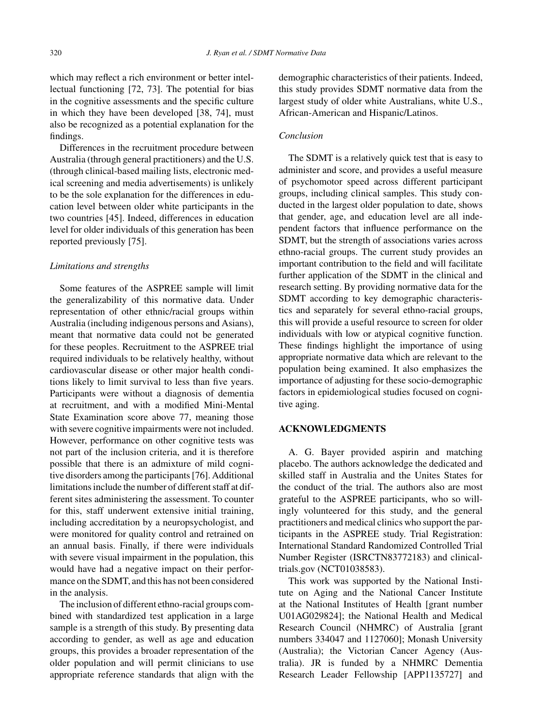which may reflect a rich environment or better intellectual functioning [72, 73]. The potential for bias in the cognitive assessments and the specific culture in which they have been developed [38, 74], must also be recognized as a potential explanation for the findings.

Differences in the recruitment procedure between Australia (through general practitioners) and the U.S. (through clinical-based mailing lists, electronic medical screening and media advertisements) is unlikely to be the sole explanation for the differences in education level between older white participants in the two countries [45]. Indeed, differences in education level for older individuals of this generation has been reported previously [75].

#### *Limitations and strengths*

Some features of the ASPREE sample will limit the generalizability of this normative data. Under representation of other ethnic/racial groups within Australia (including indigenous persons and Asians), meant that normative data could not be generated for these peoples. Recruitment to the ASPREE trial required individuals to be relatively healthy, without cardiovascular disease or other major health conditions likely to limit survival to less than five years. Participants were without a diagnosis of dementia at recruitment, and with a modified Mini-Mental State Examination score above 77, meaning those with severe cognitive impairments were not included. However, performance on other cognitive tests was not part of the inclusion criteria, and it is therefore possible that there is an admixture of mild cognitive disorders among the participants [76]. Additional limitations include the number of different staff at different sites administering the assessment. To counter for this, staff underwent extensive initial training, including accreditation by a neuropsychologist, and were monitored for quality control and retrained on an annual basis. Finally, if there were individuals with severe visual impairment in the population, this would have had a negative impact on their performance on the SDMT, and this has not been considered in the analysis.

The inclusion of different ethno-racial groups combined with standardized test application in a large sample is a strength of this study. By presenting data according to gender, as well as age and education groups, this provides a broader representation of the older population and will permit clinicians to use appropriate reference standards that align with the

demographic characteristics of their patients. Indeed, this study provides SDMT normative data from the largest study of older white Australians, white U.S., African-American and Hispanic/Latinos.

#### *Conclusion*

The SDMT is a relatively quick test that is easy to administer and score, and provides a useful measure of psychomotor speed across different participant groups, including clinical samples. This study conducted in the largest older population to date, shows that gender, age, and education level are all independent factors that influence performance on the SDMT, but the strength of associations varies across ethno-racial groups. The current study provides an important contribution to the field and will facilitate further application of the SDMT in the clinical and research setting. By providing normative data for the SDMT according to key demographic characteristics and separately for several ethno-racial groups, this will provide a useful resource to screen for older individuals with low or atypical cognitive function. These findings highlight the importance of using appropriate normative data which are relevant to the population being examined. It also emphasizes the importance of adjusting for these socio-demographic factors in epidemiological studies focused on cognitive aging.

#### **ACKNOWLEDGMENTS**

A. G. Bayer provided aspirin and matching placebo. The authors acknowledge the dedicated and skilled staff in Australia and the Unites States for the conduct of the trial. The authors also are most grateful to the ASPREE participants, who so willingly volunteered for this study, and the general practitioners and medical clinics who support the participants in the ASPREE study. Trial Registration: International Standard Randomized Controlled Trial Number Register (ISRCTN83772183) and clinicaltrials.gov (NCT01038583).

This work was supported by the National Institute on Aging and the National Cancer Institute at the National Institutes of Health [grant number U01AG029824]; the National Health and Medical Research Council (NHMRC) of Australia [grant numbers 334047 and 1127060]; Monash University (Australia); the Victorian Cancer Agency (Australia). JR is funded by a NHMRC Dementia Research Leader Fellowship [APP1135727] and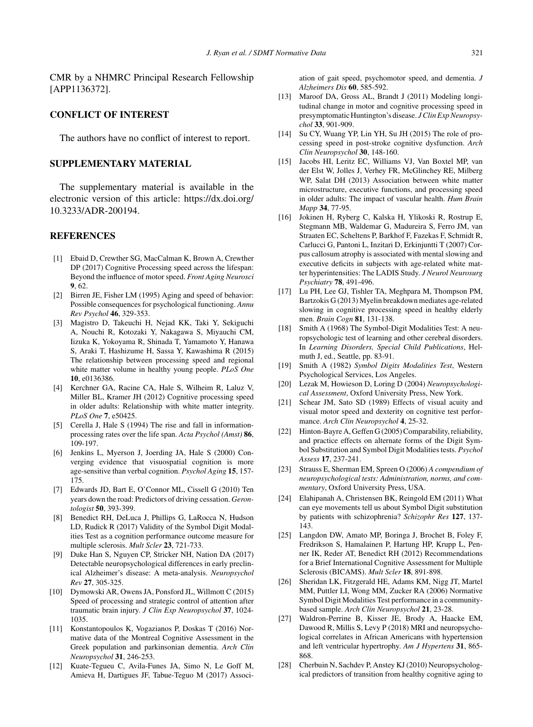CMR by a NHMRC Principal Research Fellowship [APP1136372].

# **CONFLICT OF INTEREST**

The authors have no conflict of interest to report.

# **SUPPLEMENTARY MATERIAL**

The supplementary material is available in the electronic version of this article: [https://dx.doi.org/](https://dx.doi.org/10.3233/ADR-200194) 10.3233/ADR-200194.

#### **REFERENCES**

- [1] Ebaid D, Crewther SG, MacCalman K, Brown A, Crewther DP (2017) Cognitive Processing speed across the lifespan: Beyond the influence of motor speed. *Front Aging Neurosci* **9**, 62.
- [2] Birren JE, Fisher LM (1995) Aging and speed of behavior: Possible consequences for psychological functioning. *Annu Rev Psychol* **46**, 329-353.
- [3] Magistro D, Takeuchi H, Nejad KK, Taki Y, Sekiguchi A, Nouchi R, Kotozaki Y, Nakagawa S, Miyauchi CM, Iizuka K, Yokoyama R, Shinada T, Yamamoto Y, Hanawa S, Araki T, Hashizume H, Sassa Y, Kawashima R (2015) The relationship between processing speed and regional white matter volume in healthy young people. *PLoS One* **10**, e0136386.
- [4] Kerchner GA, Racine CA, Hale S, Wilheim R, Laluz V, Miller BL, Kramer JH (2012) Cognitive processing speed in older adults: Relationship with white matter integrity. *PLoS One* **7**, e50425.
- [5] Cerella J, Hale S (1994) The rise and fall in informationprocessing rates over the life span. *Acta Psychol (Amst)* **86**, 109-197.
- [6] Jenkins L, Myerson J, Joerding JA, Hale S (2000) Converging evidence that visuospatial cognition is more age-sensitive than verbal cognition. *Psychol Aging* **15**, 157- 175.
- [7] Edwards JD, Bart E, O'Connor ML, Cissell G (2010) Ten years down the road: Predictors of driving cessation. *Gerontologist* **50**, 393-399.
- [8] Benedict RH, DeLuca J, Phillips G, LaRocca N, Hudson LD, Rudick R (2017) Validity of the Symbol Digit Modalities Test as a cognition performance outcome measure for multiple sclerosis. *Mult Scler* **23**, 721-733.
- [9] Duke Han S, Nguyen CP, Stricker NH, Nation DA (2017) Detectable neuropsychological differences in early preclinical Alzheimer's disease: A meta-analysis. *Neuropsychol Rev* **27**, 305-325.
- [10] Dymowski AR, Owens JA, Ponsford JL, Willmott C (2015) Speed of processing and strategic control of attention after traumatic brain injury. *J Clin Exp Neuropsychol* **37**, 1024- 1035.
- [11] Konstantopoulos K, Vogazianos P, Doskas T (2016) Normative data of the Montreal Cognitive Assessment in the Greek population and parkinsonian dementia. *Arch Clin Neuropsychol* **31**, 246-253.
- [12] Kuate-Tegueu C, Avila-Funes JA, Simo N, Le Goff M, Amieva H, Dartigues JF, Tabue-Teguo M (2017) Associ-

ation of gait speed, psychomotor speed, and dementia. *J Alzheimers Dis* **60**, 585-592.

- [13] Maroof DA, Gross AL, Brandt J (2011) Modeling longitudinal change in motor and cognitive processing speed in presymptomatic Huntington's disease. *J Clin Exp Neuropsychol* **33**, 901-909.
- [14] Su CY, Wuang YP, Lin YH, Su JH (2015) The role of processing speed in post-stroke cognitive dysfunction. *Arch Clin Neuropsychol* **30**, 148-160.
- [15] Jacobs HI, Leritz EC, Williams VJ, Van Boxtel MP, van der Elst W, Jolles J, Verhey FR, McGlinchey RE, Milberg WP, Salat DH (2013) Association between white matter microstructure, executive functions, and processing speed in older adults: The impact of vascular health. *Hum Brain Mapp* **34**, 77-95.
- [16] Jokinen H, Ryberg C, Kalska H, Ylikoski R, Rostrup E, Stegmann MB, Waldemar G, Madureira S, Ferro JM, van Straaten EC, Scheltens P, Barkhof F, Fazekas F, Schmidt R, Carlucci G, Pantoni L, Inzitari D, Erkinjuntti T (2007) Corpus callosum atrophy is associated with mental slowing and executive deficits in subjects with age-related white matter hyperintensities: The LADIS Study. *J Neurol Neurosurg Psychiatry* **78**, 491-496.
- [17] Lu PH, Lee GJ, Tishler TA, Meghpara M, Thompson PM, Bartzokis G (2013) Myelin breakdown mediates age-related slowing in cognitive processing speed in healthy elderly men. *Brain Cogn* **81**, 131-138.
- [18] Smith A (1968) The Symbol-Digit Modalities Test: A neuropsychologic test of learning and other cerebral disorders. In *Learning Disorders, Special Child Publications*, Helmuth J, ed., Seattle, pp. 83-91.
- [19] Smith A (1982) *Symbol Digits Modalities Test*, Western Psychological Services, Los Angeles.
- [20] Lezak M, Howieson D, Loring D (2004) *Neuropsychological Assessment*, Oxford University Press, New York.
- [21] Schear JM, Sato SD (1989) Effects of visual acuity and visual motor speed and dexterity on cognitive test performance. *Arch Clin Neuropsychol* **4**, 25-32.
- [22] Hinton-Bayre A, Geffen G (2005) Comparability, reliability, and practice effects on alternate forms of the Digit Symbol Substitution and Symbol Digit Modalities tests. *Psychol Assess* **17**, 237-241.
- [23] Strauss E, Sherman EM, Spreen O (2006) *A compendium of neuropsychological tests: Administration, norms, and commentary*, Oxford University Press, USA.
- [24] Elahipanah A, Christensen BK, Reingold EM (2011) What can eye movements tell us about Symbol Digit substitution by patients with schizophrenia? *Schizophr Res* **127**, 137- 143.
- [25] Langdon DW, Amato MP, Boringa J, Brochet B, Foley F, Fredrikson S, Hamalainen P, Hartung HP, Krupp L, Penner IK, Reder AT, Benedict RH (2012) Recommendations for a Brief International Cognitive Assessment for Multiple Sclerosis (BICAMS). *Mult Scler* **18**, 891-898.
- [26] Sheridan LK, Fitzgerald HE, Adams KM, Nigg JT, Martel MM, Puttler LI, Wong MM, Zucker RA (2006) Normative Symbol Digit Modalities Test performance in a communitybased sample. *Arch Clin Neuropsychol* **21**, 23-28.
- [27] Waldron-Perrine B, Kisser JE, Brody A, Haacke EM, Dawood R, Millis S, Levy P (2018) MRI and neuropsychological correlates in African Americans with hypertension and left ventricular hypertrophy. *Am J Hypertens* **31**, 865- 868.
- [28] Cherbuin N, Sachdev P, Anstey KJ (2010) Neuropsychological predictors of transition from healthy cognitive aging to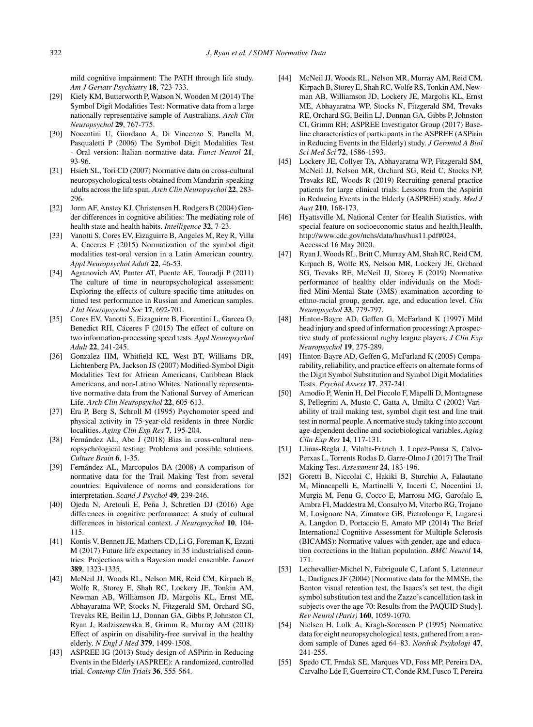mild cognitive impairment: The PATH through life study. *Am J Geriatr Psychiatry* **18**, 723-733.

- [29] Kiely KM, Butterworth P, Watson N, Wooden M (2014) The Symbol Digit Modalities Test: Normative data from a large nationally representative sample of Australians. *Arch Clin Neuropsychol* **29**, 767-775.
- [30] Nocentini U, Giordano A, Di Vincenzo S, Panella M, Pasqualetti P (2006) The Symbol Digit Modalities Test - Oral version: Italian normative data. *Funct Neurol* **21**, 93-96.
- [31] Hsieh SL, Tori CD (2007) Normative data on cross-cultural neuropsychological tests obtained from Mandarin-speaking adults across the life span. *Arch Clin Neuropsychol* **22**, 283- 296.
- [32] Jorm AF, Anstey KJ, Christensen H, Rodgers B (2004) Gender differences in cognitive abilities: The mediating role of health state and health habits. *Intelligence* **32**, 7-23.
- [33] Vanotti S, Cores EV, Eizaguirre B, Angeles M, Rey R, Villa A, Caceres F (2015) Normatization of the symbol digit modalities test-oral version in a Latin American country. *Appl Neuropsychol Adult* **22**, 46-53.
- [34] Agranovich AV, Panter AT, Puente AE, Touradji P (2011) The culture of time in neuropsychological assessment: Exploring the effects of culture-specific time attitudes on timed test performance in Russian and American samples. *J Int Neuropsychol Soc* **17**, 692-701.
- [35] Cores EV, Vanotti S, Eizaguirre B, Fiorentini L, Garcea O, Benedict RH, Cáceres F (2015) The effect of culture on two information-processing speed tests. *Appl Neuropsychol Adult* **22**, 241-245.
- [36] Gonzalez HM, Whitfield KE, West BT, Williams DR, Lichtenberg PA, Jackson JS (2007) Modified-Symbol Digit Modalities Test for African Americans, Caribbean Black Americans, and non-Latino Whites: Nationally representative normative data from the National Survey of American Life. *Arch Clin Neuropsychol* **22**, 605-613.
- [37] Era P, Berg S, Schroll M (1995) Psychomotor speed and physical activity in 75-year-old residents in three Nordic localities. *Aging Clin Exp Res* **7**, 195-204.
- [38] Fernández AL, Abe J (2018) Bias in cross-cultural neuropsychological testing: Problems and possible solutions. *Culture Brain* **6**, 1-35.
- [39] Fernández AL, Marcopulos BA (2008) A comparison of normative data for the Trail Making Test from several countries: Equivalence of norms and considerations for interpretation. *Scand J Psychol* **49**, 239-246.
- [40] Ojeda N, Aretouli E, Peña J, Schretlen DJ (2016) Age differences in cognitive performance: A study of cultural differences in historical context. *J Neuropsychol* **10**, 104- 115.
- [41] Kontis V, Bennett JE, Mathers CD, Li G, Foreman K, Ezzati M (2017) Future life expectancy in 35 industrialised countries: Projections with a Bayesian model ensemble. *Lancet* **389**, 1323-1335.
- [42] McNeil JJ, Woods RL, Nelson MR, Reid CM, Kirpach B, Wolfe R, Storey E, Shah RC, Lockery JE, Tonkin AM, Newman AB, Williamson JD, Margolis KL, Ernst ME, Abhayaratna WP, Stocks N, Fitzgerald SM, Orchard SG, Trevaks RE, Beilin LJ, Donnan GA, Gibbs P, Johnston CI, Ryan J, Radziszewska B, Grimm R, Murray AM (2018) Effect of aspirin on disability-free survival in the healthy elderly. *N Engl J Med* **379**, 1499-1508.
- [43] ASPREE IG (2013) Study design of ASPirin in Reducing Events in the Elderly (ASPREE): A randomized, controlled trial. *Contemp Clin Trials* **36**, 555-564.
- [44] McNeil JJ, Woods RL, Nelson MR, Murray AM, Reid CM, Kirpach B, Storey E, Shah RC, Wolfe RS, Tonkin AM, Newman AB, Williamson JD, Lockery JE, Margolis KL, Ernst ME, Abhayaratna WP, Stocks N, Fitzgerald SM, Trevaks RE, Orchard SG, Beilin LJ, Donnan GA, Gibbs P, Johnston CI, Grimm RH; ASPREE Investigator Group (2017) Baseline characteristics of participants in the ASPREE (ASPirin in Reducing Events in the Elderly) study. *J Gerontol A Biol Sci Med Sci* **72**, 1586-1593.
- [45] Lockery JE, Collyer TA, Abhayaratna WP, Fitzgerald SM, McNeil JJ, Nelson MR, Orchard SG, Reid C, Stocks NP, Trevaks RE, Woods R (2019) Recruiting general practice patients for large clinical trials: Lessons from the Aspirin in Reducing Events in the Elderly (ASPREE) study. *Med J Aust* **210**, 168-173.
- [46] Hyattsville M, National Center for Health Statistics, with special feature on socioeconomic status and health,Health, [http://www.cdc.gov/nchs/data/hus/hus11.pdf#024,](http://www.cdc.gov/nchs/data/hus/hus11.pdf#024) Accessed 16 May 2020.
- [47] Ryan J, Woods RL, Britt C, Murray AM, Shah RC, Reid CM, Kirpach B, Wolfe RS, Nelson MR, Lockery JE, Orchard SG, Trevaks RE, McNeil JJ, Storey E (2019) Normative performance of healthy older individuals on the Modified Mini-Mental State (3MS) examination according to ethno-racial group, gender, age, and education level. *Clin Neuropsychol* **33**, 779-797.
- [48] Hinton-Bayre AD, Geffen G, McFarland K (1997) Mild head injury and speed of information processing: A prospective study of professional rugby league players. *J Clin Exp Neuropsychol* **19**, 275-289.
- [49] Hinton-Bayre AD, Geffen G, McFarland K (2005) Comparability, reliability, and practice effects on alternate forms of the Digit Symbol Substitution and Symbol Digit Modalities Tests. *Psychol Assess* **17**, 237-241.
- [50] Amodio P, Wenin H, Del Piccolo F, Mapelli D, Montagnese S, Pellegrini A, Musto C, Gatta A, Umilta C (2002) Variability of trail making test, symbol digit test and line trait test in normal people. A normative study taking into account age-dependent decline and sociobiological variables. *Aging Clin Exp Res* **14**, 117-131.
- [51] Llinas-Regla J, Vilalta-Franch J, Lopez-Pousa S, Calvo-Perxas L, Torrents Rodas D, Garre-Olmo J (2017) The Trail Making Test. *Assessment* **24**, 183-196.
- [52] Goretti B, Niccolai C, Hakiki B, Sturchio A, Falautano M, Minacapelli E, Martinelli V, Incerti C, Nocentini U, Murgia M, Fenu G, Cocco E, Marrosu MG, Garofalo E, Ambra FI, Maddestra M, Consalvo M, Viterbo RG, Trojano M, Losignore NA, Zimatore GB, Pietrolongo E, Lugaresi A, Langdon D, Portaccio E, Amato MP (2014) The Brief International Cognitive Assessment for Multiple Sclerosis (BICAMS): Normative values with gender, age and education corrections in the Italian population. *BMC Neurol* **14**, 171.
- [53] Lechevallier-Michel N, Fabrigoule C, Lafont S, Letenneur L, Dartigues JF (2004) [Normative data for the MMSE, the Benton visual retention test, the Isaacs's set test, the digit symbol substitution test and the Zazzo's cancellation task in subjects over the age 70: Results from the PAQUID Study]. *Rev Neurol (Paris)* **160**, 1059-1070.
- [54] Nielsen H, Lolk A, Kragh-Sorensen P (1995) Normative data for eight neuropsychological tests, gathered from a random sample of Danes aged 64–83. *Nordisk Psykologi* **47**, 241-255.
- [55] Spedo CT, Frndak SE, Marques VD, Foss MP, Pereira DA, Carvalho Lde F, Guerreiro CT, Conde RM, Fusco T, Pereira